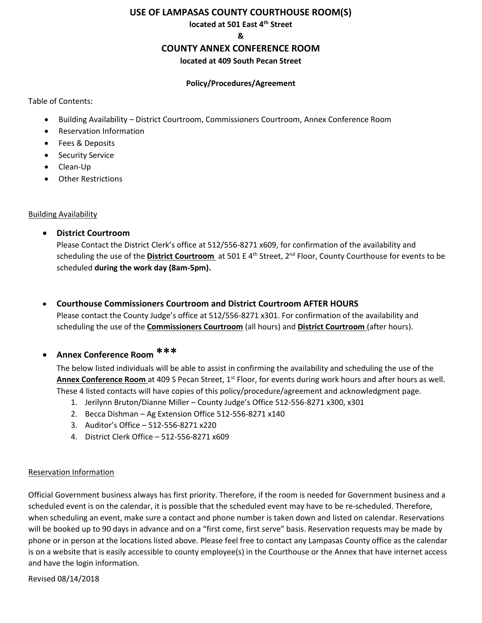#### **USE OF LAMPASAS COUNTY COURTHOUSE ROOM(S)**

**located at 501 East 4th Street**

**&**

# **COUNTY ANNEX CONFERENCE ROOM**

**located at 409 South Pecan Street**

#### **Policy/Procedures/Agreement**

Table of Contents:

- Building Availability District Courtroom, Commissioners Courtroom, Annex Conference Room
- Reservation Information
- Fees & Deposits
- Security Service
- Clean-Up
- Other Restrictions

## Building Availability

• **District Courtroom**

Please Contact the District Clerk's office at 512/556-8271 x609, for confirmation of the availability and scheduling the use of the **District Courtroom** at 501 E 4<sup>th</sup> Street, 2<sup>nd</sup> Floor, County Courthouse for events to be scheduled **during the work day (8am-5pm).**

• **Courthouse Commissioners Courtroom and District Courtroom AFTER HOURS** Please contact the County Judge's office at 512/556-8271 x301. For confirmation of the availability and

scheduling the use of the **Commissioners Courtroom** (all hours) and **District Courtroom** (after hours).

• **Annex Conference Room \*\*\***

The below listed individuals will be able to assist in confirming the availability and scheduling the use of the **Annex Conference Room** at 409 S Pecan Street, 1<sup>st</sup> Floor, for events during work hours and after hours as well. These 4 listed contacts will have copies of this policy/procedure/agreement and acknowledgment page.

- 1. Jerilynn Bruton/Dianne Miller County Judge's Office 512-556-8271 x300, x301
- 2. Becca Dishman Ag Extension Office 512-556-8271 x140
- 3. Auditor's Office 512-556-8271 x220
- 4. District Clerk Office 512-556-8271 x609

## Reservation Information

Official Government business always has first priority. Therefore, if the room is needed for Government business and a scheduled event is on the calendar, it is possible that the scheduled event may have to be re-scheduled. Therefore, when scheduling an event, make sure a contact and phone number is taken down and listed on calendar. Reservations will be booked up to 90 days in advance and on a "first come, first serve" basis. Reservation requests may be made by phone or in person at the locations listed above. Please feel free to contact any Lampasas County office as the calendar is on a website that is easily accessible to county employee(s) in the Courthouse or the Annex that have internet access and have the login information.

Revised 08/14/2018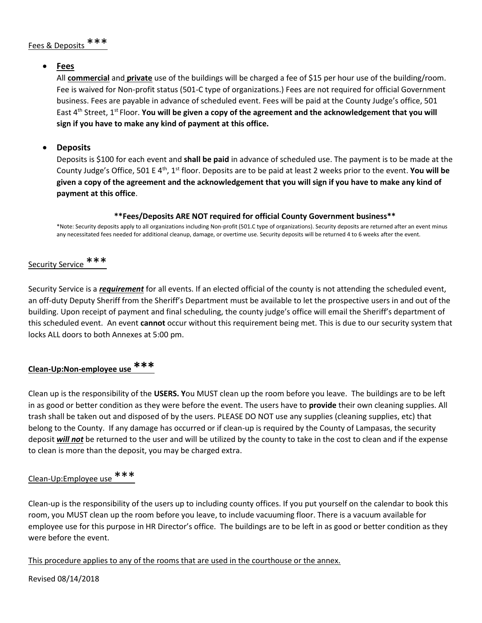#### • **Fees**

All **commercial** and **private** use of the buildings will be charged a fee of \$15 per hour use of the building/room. Fee is waived for Non-profit status (501-C type of organizations.) Fees are not required for official Government business. Fees are payable in advance of scheduled event. Fees will be paid at the County Judge's office, 501 East 4<sup>th</sup> Street, 1<sup>st</sup> Floor. **You will be given a copy of the agreement and the acknowledgement that you will sign if you have to make any kind of payment at this office.** 

## • **Deposits**

Deposits is \$100 for each event and **shall be paid** in advance of scheduled use. The payment is to be made at the County Judge's Office, 501 E 4th, 1st floor. Deposits are to be paid at least 2 weeks prior to the event. **You will be given a copy of the agreement and the acknowledgement that you will sign if you have to make any kind of payment at this office**.

#### **\*\*Fees/Deposits ARE NOT required for official County Government business\*\***

\*Note: Security deposits apply to all organizations including Non-profit (501.C type of organizations). Security deposits are returned after an event minus any necessitated fees needed for additional cleanup, damage, or overtime use. Security deposits will be returned 4 to 6 weeks after the event.

# Security Service \*\*\*

Security Service is a *requirement* for all events. If an elected official of the county is not attending the scheduled event, an off-duty Deputy Sheriff from the Sheriff's Department must be available to let the prospective users in and out of the building. Upon receipt of payment and final scheduling, the county judge's office will email the Sheriff's department of this scheduled event. An event **cannot** occur without this requirement being met. This is due to our security system that locks ALL doors to both Annexes at 5:00 pm.

# **Clean-Up:Non-employee use \*\*\***

Clean up is the responsibility of the **USERS. Y**ou MUST clean up the room before you leave. The buildings are to be left in as good or better condition as they were before the event. The users have to **provide** their own cleaning supplies. All trash shall be taken out and disposed of by the users. PLEASE DO NOT use any supplies (cleaning supplies, etc) that belong to the County. If any damage has occurred or if clean-up is required by the County of Lampasas, the security deposit *will not* be returned to the user and will be utilized by the county to take in the cost to clean and if the expense to clean is more than the deposit, you may be charged extra.

# Clean-Up:Employee use \*\*\*

Clean-up is the responsibility of the users up to including county offices. If you put yourself on the calendar to book this room, you MUST clean up the room before you leave, to include vacuuming floor. There is a vacuum available for employee use for this purpose in HR Director's office. The buildings are to be left in as good or better condition as they were before the event.

This procedure applies to any of the rooms that are used in the courthouse or the annex.

Revised 08/14/2018